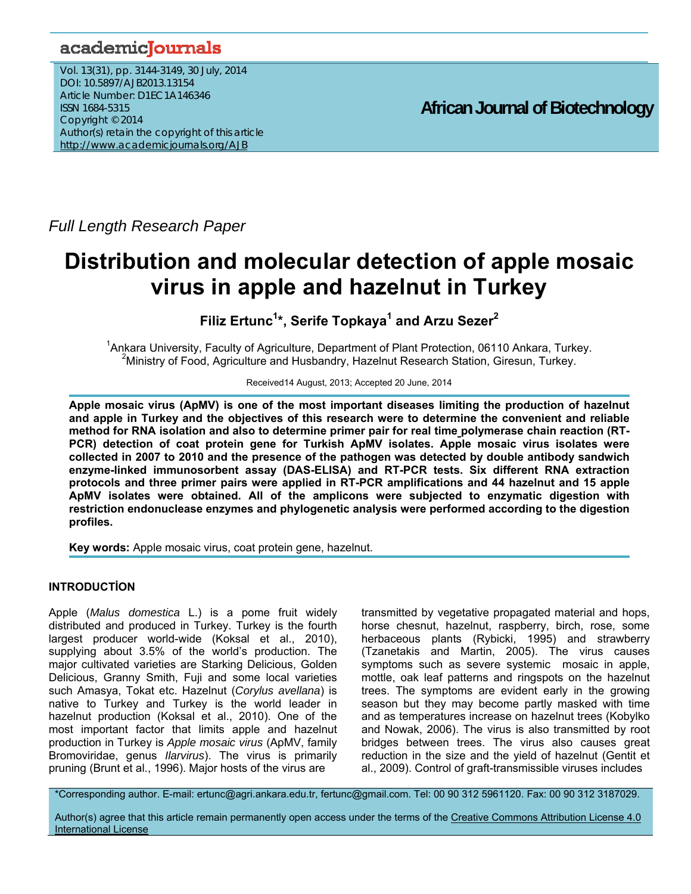## academicJournals

Vol. 13(31), pp. 3144-3149, 30 July, 2014 DOI: 10.5897/AJB2013.13154 Article Number: D1EC1A146346 ISSN 1684-5315 Copyright © 2014 Author(s) retain the copyright of this article http://www.academicjournals.org/AJB

**African Journal of Biotechnology**

*Full Length Research Paper*

# **Distribution and molecular detection of apple mosaic virus in apple and hazelnut in Turkey**

**Filiz Ertunc1 \*, Serife Topkaya<sup>1</sup> and Arzu Sezer2** 

<sup>1</sup> Ankara University, Faculty of Agriculture, Department of Plant Protection, 06110 Ankara, Turkey.<br><sup>2</sup> Ministry of Food, Agriculture and Hupbandry, Hazelput Bessersh Station, Girogup, Turkey. <sup>2</sup>Ministry of Food, Agriculture and Husbandry, Hazelnut Research Station, Giresun, Turkey.

Received14 August, 2013; Accepted 20 June, 2014

**Apple mosaic virus (ApMV) is one of the most important diseases limiting the production of hazelnut and apple in Turkey and the objectives of this research were to determine the convenient and reliable method for RNA isolation and also to determine primer pair for real time polymerase chain reaction (RT-PCR) detection of coat protein gene for Turkish ApMV isolates. Apple mosaic virus isolates were collected in 2007 to 2010 and the presence of the pathogen was detected by double antibody sandwich enzyme-linked immunosorbent assay (DAS-ELISA) and RT-PCR tests. Six different RNA extraction protocols and three primer pairs were applied in RT-PCR amplifications and 44 hazelnut and 15 apple ApMV isolates were obtained. All of the amplicons were subjected to enzymatic digestion with restriction endonuclease enzymes and phylogenetic analysis were performed according to the digestion profiles.** 

**Key words:** Apple mosaic virus, coat protein gene, hazelnut.

## **INTRODUCTİON**

Apple (*Malus domestica* L.) is a pome fruit widely distributed and produced in Turkey. Turkey is the fourth largest producer world-wide (Koksal et al., 2010), supplying about 3.5% of the world's production. The major cultivated varieties are Starking Delicious, Golden Delicious, Granny Smith, Fuji and some local varieties such Amasya, Tokat etc. Hazelnut (*Corylus avellana*) is native to Turkey and Turkey is the world leader in hazelnut production (Koksal et al., 2010). One of the most important factor that limits apple and hazelnut production in Turkey is *Apple mosaic virus* (ApMV, family Bromoviridae, genus *Ilarvirus*). The virus is primarily pruning (Brunt et al., 1996). Major hosts of the virus are

transmitted by vegetative propagated material and hops, horse chesnut, hazelnut, raspberry, birch, rose, some herbaceous plants (Rybicki, 1995) and strawberry (Tzanetakis and Martin, 2005). The virus causes symptoms such as severe systemic mosaic in apple, mottle, oak leaf patterns and ringspots on the hazelnut trees. The symptoms are evident early in the growing season but they may become partly masked with time and as temperatures increase on hazelnut trees (Kobylko and Nowak, 2006). The virus is also transmitted by root bridges between trees. The virus also causes great reduction in the size and the yield of hazelnut (Gentit et al., 2009). Control of graft-transmissible viruses includes

\*Corresponding author. E-mail: ertunc@agri.ankara.edu.tr, fertunc@gmail.com. Tel: 00 90 312 5961120. Fax: 00 90 312 3187029.

Author(s) agree that this article remain permanently open access under the terms of the Creative Commons Attribution License 4.0 International License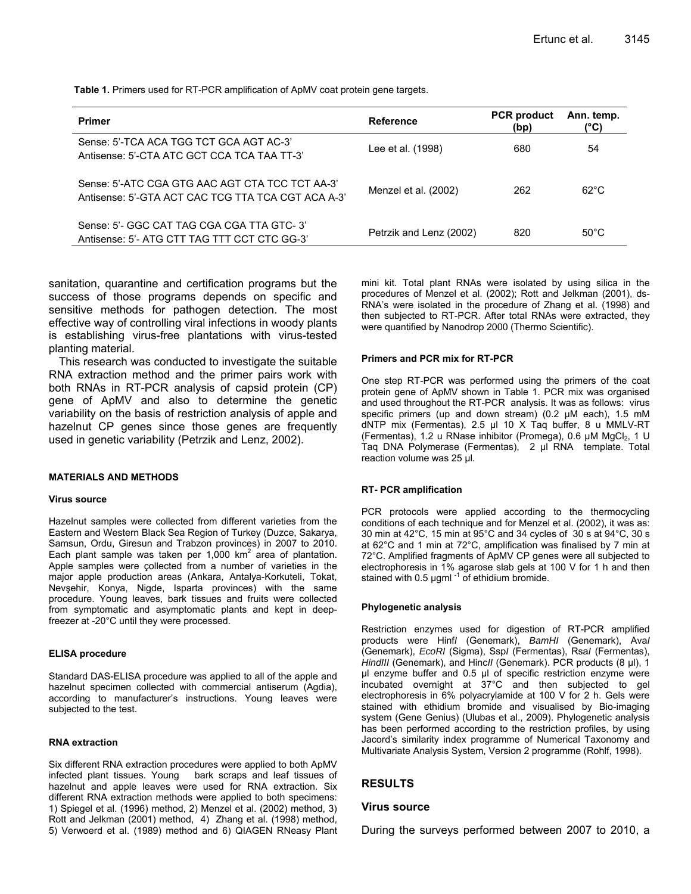**Table 1.** Primers used for RT-PCR amplification of ApMV coat protein gene targets.

| <b>Primer</b>                                                                                         | <b>Reference</b>        | <b>PCR</b> product<br>(bp) | Ann. temp.<br>(°C) |
|-------------------------------------------------------------------------------------------------------|-------------------------|----------------------------|--------------------|
| Sense: 5'-TCA ACA TGG TCT GCA AGT AC-3'<br>Antisense: 5'-CTA ATC GCT CCA TCA TAA TT-3'                | Lee et al. (1998)       | 680                        | 54                 |
| Sense: 5'-ATC CGA GTG AAC AGT CTA TCC TCT AA-3'<br>Antisense: 5'-GTA ACT CAC TCG TTA TCA CGT ACA A-3' | Menzel et al. (2002)    | 262                        | $62^{\circ}$ C     |
| Sense: 5'- GGC CAT TAG CGA CGA TTA GTC-3'<br>Antisense: 5'- ATG CTT TAG TTT CCT CTC GG-3'             | Petrzik and Lenz (2002) | 820                        | $50^{\circ}$ C     |

sanitation, quarantine and certification programs but the success of those programs depends on specific and sensitive methods for pathogen detection. The most effective way of controlling viral infections in woody plants is establishing virus-free plantations with virus-tested planting material.

This research was conducted to investigate the suitable RNA extraction method and the primer pairs work with both RNAs in RT-PCR analysis of capsid protein (CP) gene of ApMV and also to determine the genetic variability on the basis of restriction analysis of apple and hazelnut CP genes since those genes are frequently used in genetic variability (Petrzik and Lenz, 2002).

#### **MATERIALS AND METHODS**

#### **Virus source**

Hazelnut samples were collected from different varieties from the Eastern and Western Black Sea Region of Turkey (Duzce, Sakarya, Samsun, Ordu, Giresun and Trabzon provinces) in 2007 to 2010. Each plant sample was taken per 1,000 km<sup>2</sup> area of plantation. Apple samples were çollected from a number of varieties in the major apple production areas (Ankara, Antalya-Korkuteli, Tokat, Nevşehir, Konya, Nigde, Isparta provinces) with the same procedure. Young leaves, bark tissues and fruits were collected from symptomatic and asymptomatic plants and kept in deepfreezer at -20°C until they were processed.

#### **ELISA procedure**

Standard DAS-ELISA procedure was applied to all of the apple and hazelnut specimen collected with commercial antiserum (Agdia), according to manufacturer's instructions. Young leaves were subjected to the test.

#### **RNA extraction**

Six different RNA extraction procedures were applied to both ApMV infected plant tissues. Young bark scraps and leaf tissues of hazelnut and apple leaves were used for RNA extraction. Six different RNA extraction methods were applied to both specimens: 1) Spiegel et al. (1996) method, 2) Menzel et al. (2002) method, 3) Rott and Jelkman (2001) method, 4) Zhang et al. (1998) method, 5) Verwoerd et al. (1989) method and 6) QIAGEN RNeasy Plant mini kit. Total plant RNAs were isolated by using silica in the procedures of Menzel et al. (2002); Rott and Jelkman (2001), ds-RNA's were isolated in the procedure of Zhang et al. (1998) and then subjected to RT-PCR. After total RNAs were extracted, they were quantified by Nanodrop 2000 (Thermo Scientific).

#### **Primers and PCR mix for RT-PCR**

One step RT-PCR was performed using the primers of the coat protein gene of ApMV shown in Table 1. PCR mix was organised and used throughout the RT-PCR analysis. It was as follows: virus specific primers (up and down stream) (0.2  $\mu$ M each), 1.5 mM dNTP mix (Fermentas), 2.5 µl 10 X Taq buffer, 8 u MMLV-RT (Fermentas), 1.2 u RNase inhibitor (Promega), 0.6 µM MgCl<sub>2</sub>, 1 U Taq DNA Polymerase (Fermentas), 2 µl RNA template. Total reaction volume was 25 µl.

#### **RT- PCR amplification**

PCR protocols were applied according to the thermocycling conditions of each technique and for Menzel et al. (2002), it was as: 30 min at 42°C, 15 min at 95°C and 34 cycles of 30 s at 94°C, 30 s at 62°C and 1 min at 72°C, amplification was finalised by 7 min at 72°C. Amplified fragments of ApMV CP genes were all subjected to electrophoresis in 1% agarose slab gels at 100 V for 1 h and then stained with 0.5  $\mu$ gml  $^{-1}$  of ethidium bromide.

#### **Phylogenetic analysis**

Restriction enzymes used for digestion of RT-PCR amplified products were Hinf*I* (Genemark), *BamHI* (Genemark), Ava*I* (Genemark), *EcoRI* (Sigma), Ssp*I* (Fermentas), Rsa*I* (Fermentas), *HindIII* (Genemark), and Hinc*II* (Genemark). PCR products (8 µl), 1 µl enzyme buffer and 0.5 µl of specific restriction enzyme were incubated overnight at 37°C and then subjected to gel electrophoresis in 6% polyacrylamide at 100 V for 2 h. Gels were stained with ethidium bromide and visualised by Bio-imaging system (Gene Genius) (Ulubas et al., 2009). Phylogenetic analysis has been performed according to the restriction profiles, by using Jacord's similarity index programme of Numerical Taxonomy and Multivariate Analysis System, Version 2 programme (Rohlf, 1998).

#### **RESULTS**

#### **Virus source**

During the surveys performed between 2007 to 2010, a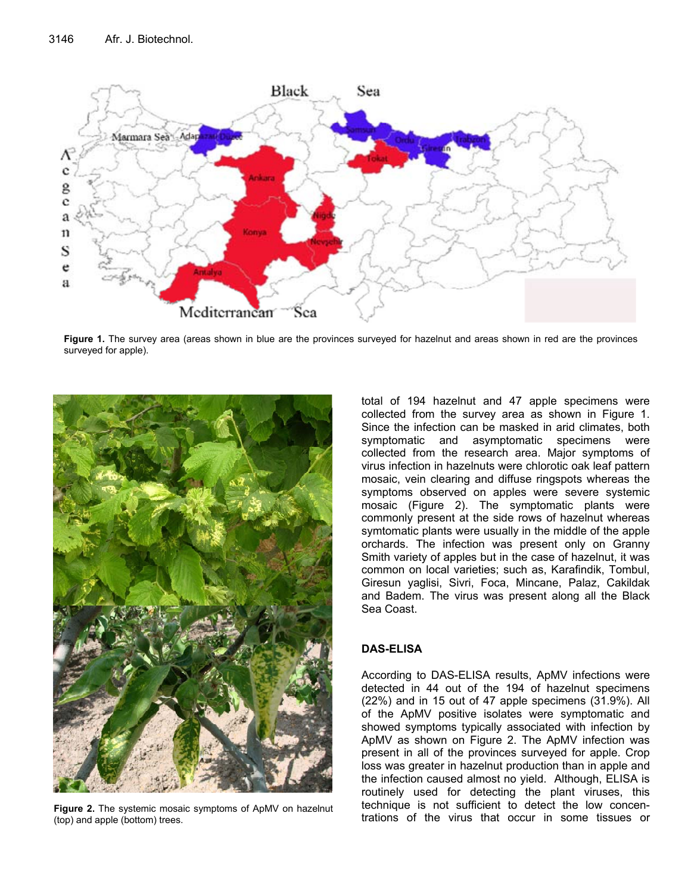

**Figure 1.** The survey area (areas shown in blue are the provinces surveyed for hazelnut and areas shown in red are the provinces surveyed for apple).



**Figure 2.** The systemic mosaic symptoms of ApMV on hazelnut (top) and apple (bottom) trees.

total of 194 hazelnut and 47 apple specimens were collected from the survey area as shown in Figure 1. Since the infection can be masked in arid climates, both symptomatic and asymptomatic specimens were collected from the research area. Major symptoms of virus infection in hazelnuts were chlorotic oak leaf pattern mosaic, vein clearing and diffuse ringspots whereas the symptoms observed on apples were severe systemic mosaic (Figure 2). The symptomatic plants were commonly present at the side rows of hazelnut whereas symtomatic plants were usually in the middle of the apple orchards. The infection was present only on Granny Smith variety of apples but in the case of hazelnut, it was common on local varieties; such as, Karafindik, Tombul, Giresun yaglisi, Sivri, Foca, Mincane, Palaz, Cakildak and Badem. The virus was present along all the Black Sea Coast.

## **DAS-ELISA**

According to DAS-ELISA results, ApMV infections were detected in 44 out of the 194 of hazelnut specimens (22%) and in 15 out of 47 apple specimens (31.9%). All of the ApMV positive isolates were symptomatic and showed symptoms typically associated with infection by ApMV as shown on Figure 2. The ApMV infection was present in all of the provinces surveyed for apple. Crop loss was greater in hazelnut production than in apple and the infection caused almost no yield. Although, ELISA is routinely used for detecting the plant viruses, this technique is not sufficient to detect the low concentrations of the virus that occur in some tissues or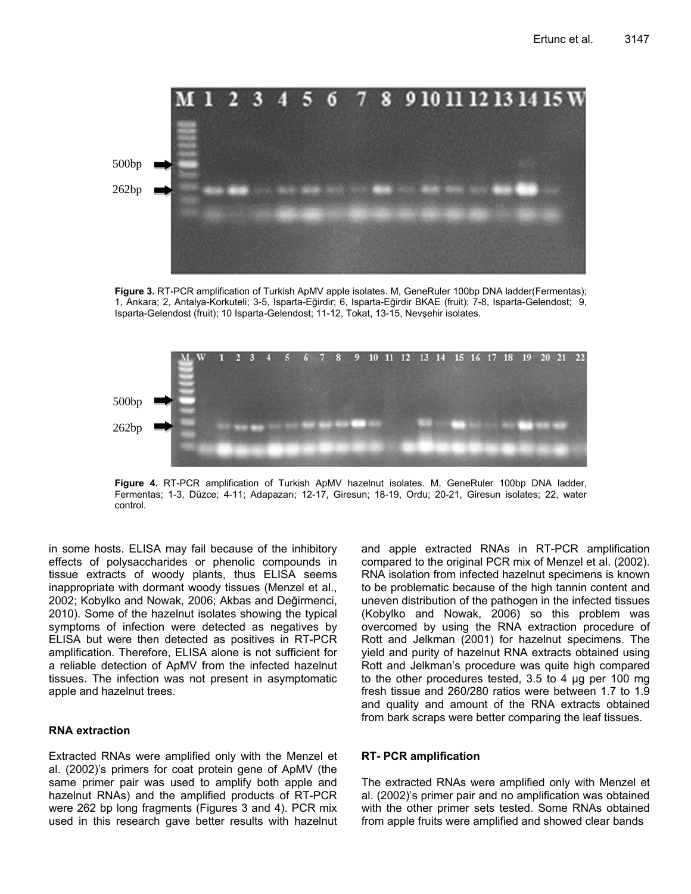

**Figure 3.** RT-PCR amplification of Turkish ApMV apple isolates. M, GeneRuler 100bp DNA ladder(Fermentas); 1, Ankara; 2, Antalya-Korkuteli; 3-5, Isparta-Eğirdir; 6, Isparta-Eğirdir BKAE (fruit); 7-8, Isparta-Gelendost; 9, Isparta-Gelendost (fruit); 10 Isparta-Gelendost; 11-12, Tokat, 13-15, Nevşehir isolates.



**Figure 4.** RT-PCR amplification of Turkish ApMV hazelnut isolates. M, GeneRuler 100bp DNA ladder, Fermentas; 1-3, Düzce; 4-11; Adapazarı; 12-17, Giresun; 18-19, Ordu; 20-21, Giresun isolates; 22, water control.

in some hosts. ELISA may fail because of the inhibitory effects of polysaccharides or phenolic compounds in tissue extracts of woody plants, thus ELISA seems inappropriate with dormant woody tissues (Menzel et al., 2002; Kobylko and Nowak, 2006; Akbas and Değirmenci, 2010). Some of the hazelnut isolates showing the typical symptoms of infection were detected as negatives by ELISA but were then detected as positives in RT-PCR amplification. Therefore, ELISA alone is not sufficient for a reliable detection of ApMV from the infected hazelnut tissues. The infection was not present in asymptomatic apple and hazelnut trees.

#### **RNA extraction**

Extracted RNAs were amplified only with the Menzel et al. (2002)'s primers for coat protein gene of ApMV (the same primer pair was used to amplify both apple and hazelnut RNAs) and the amplified products of RT-PCR were 262 bp long fragments (Figures 3 and 4). PCR mix used in this research gave better results with hazelnut and apple extracted RNAs in RT-PCR amplification compared to the original PCR mix of Menzel et al. (2002). RNA isolation from infected hazelnut specimens is known to be problematic because of the high tannin content and uneven distribution of the pathogen in the infected tissues (Kobylko and Nowak, 2006) so this problem was overcomed by using the RNA extraction procedure of Rott and Jelkman (2001) for hazelnut specimens. The yield and purity of hazelnut RNA extracts obtained using Rott and Jelkman's procedure was quite high compared to the other procedures tested, 3.5 to 4 µg per 100 mg fresh tissue and 260/280 ratios were between 1.7 to 1.9 and quality and amount of the RNA extracts obtained from bark scraps were better comparing the leaf tissues.

## **RT- PCR amplification**

The extracted RNAs were amplified only with Menzel et al. (2002)'s primer pair and no amplification was obtained with the other primer sets tested. Some RNAs obtained from apple fruits were amplified and showed clear bands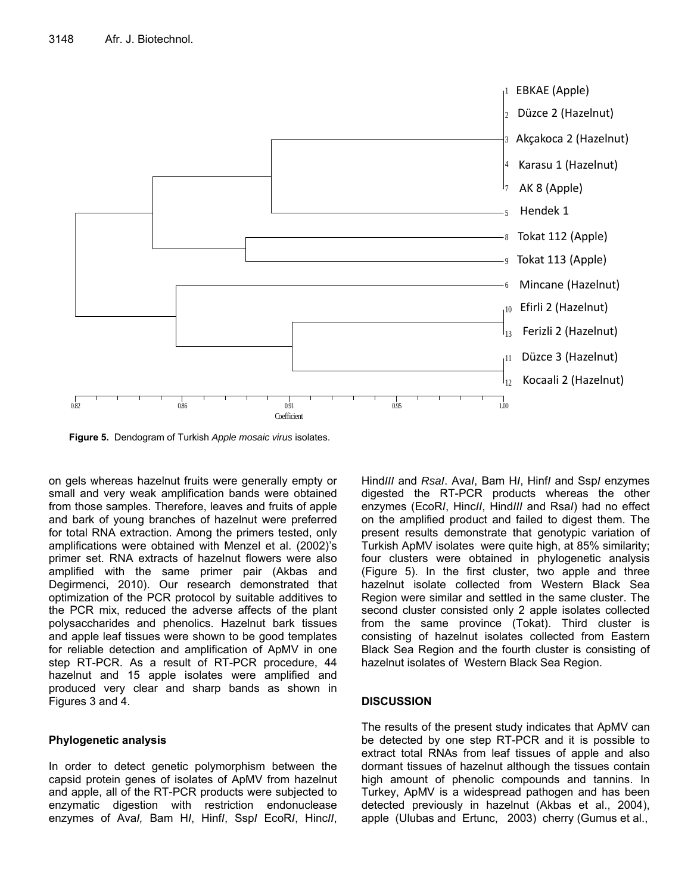

**Figure 5.** Dendogram of Turkish *Apple mosaic virus* isolates.

on gels whereas hazelnut fruits were generally empty or small and very weak amplification bands were obtained from those samples. Therefore, leaves and fruits of apple and bark of young branches of hazelnut were preferred for total RNA extraction. Among the primers tested, only amplifications were obtained with Menzel et al. (2002)'s primer set. RNA extracts of hazelnut flowers were also amplified with the same primer pair (Akbas and Degirmenci, 2010). Our research demonstrated that optimization of the PCR protocol by suitable additives to the PCR mix, reduced the adverse affects of the plant polysaccharides and phenolics. Hazelnut bark tissues and apple leaf tissues were shown to be good templates for reliable detection and amplification of ApMV in one step RT-PCR. As a result of RT-PCR procedure, 44 hazelnut and 15 apple isolates were amplified and produced very clear and sharp bands as shown in Figures 3 and 4.

## **Phylogenetic analysis**

In order to detect genetic polymorphism between the capsid protein genes of isolates of ApMV from hazelnut and apple, all of the RT-PCR products were subjected to enzymatic digestion with restriction endonuclease enzymes of Ava*I,* Bam H*I*, Hinf*I*, Ssp*I* EcoR*I*, Hinc*II*,

Hind*III* and *RsaI*. Ava*I*, Bam H*I*, Hinf*I* and Ssp*I* enzymes digested the RT-PCR products whereas the other enzymes (EcoR*I*, Hinc*II*, Hind*III* and Rsa*I*) had no effect on the amplified product and failed to digest them. The present results demonstrate that genotypic variation of Turkish ApMV isolates were quite high, at 85% similarity; four clusters were obtained in phylogenetic analysis (Figure 5). In the first cluster, two apple and three hazelnut isolate collected from Western Black Sea Region were similar and settled in the same cluster. The second cluster consisted only 2 apple isolates collected from the same province (Tokat). Third cluster is consisting of hazelnut isolates collected from Eastern Black Sea Region and the fourth cluster is consisting of hazelnut isolates of Western Black Sea Region.

## **DISCUSSION**

The results of the present study indicates that ApMV can be detected by one step RT-PCR and it is possible to extract total RNAs from leaf tissues of apple and also dormant tissues of hazelnut although the tissues contain high amount of phenolic compounds and tannins. In Turkey, ApMV is a widespread pathogen and has been detected previously in hazelnut (Akbas et al., 2004), apple (Ulubas and Ertunc, 2003) cherry (Gumus et al.,